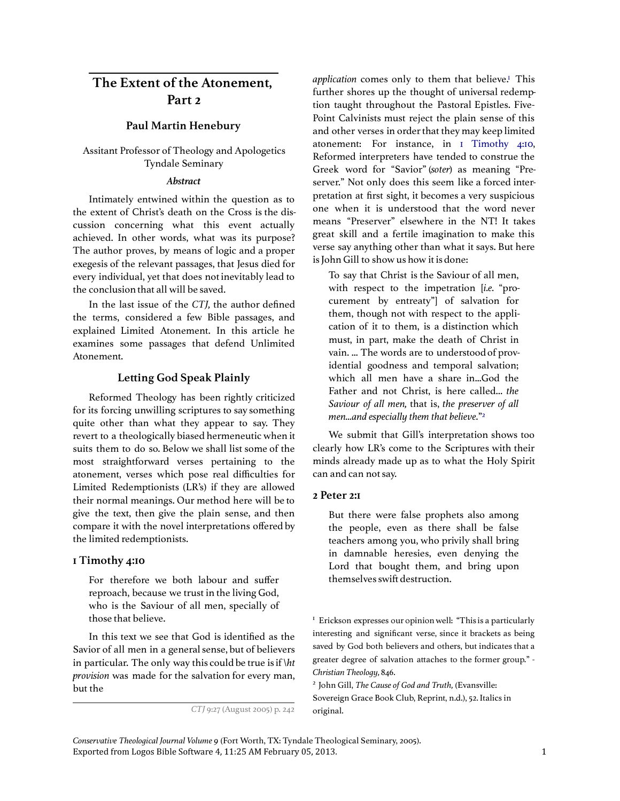# The Extent of the Atonement, Part 2

## Paul Martin Henebury

## Assitant Professor of Theology and Apologetics Tyndale Seminary

#### Abstract

Intimately entwined within the question as to the extent of Christ's death on the Cross is the discussion concerning what this event actually achieved. In other words, what was its purpose? The author proves, by means of logic and a proper exegesis of the relevant passages, that Jesus died for every individual, yet that does not inevitably lead to the conclusion that all will be saved.

In the last issue of the CTJ, the author defined the terms, considered a few Bible passages, and explained Limited Atonement. In this article he examines some passages that defend Unlimited Atonement.

## Letting God Speak Plainly

Reformed Theology has been rightly criticized for its forcing unwilling scriptures to say something quite other than what they appear to say. They revert to a theologically biased hermeneutic when it suits them to do so. Below we shall list some of the most straightforward verses pertaining to the atonement, verses which pose real difficulties for Limited Redemptionists (LR's) if they are allowed their normal meanings. Our method here will be to give the text, then give the plain sense, and then compare it with the novel interpretations offered by the limited redemptionists.

### 1 Timothy 4:10

For therefore we both labour and suffer reproach, because we trust in the living God, who is the Saviour of all men, specially of those that believe.

In this text we see that God is identified as the Savior of all men in a general sense, but of believers in particular. The only way this could be true is if  $\hbar$ provision was made for the salvation for every man, but the

application comes only to them that believe.<sup>1</sup> This further shores up the thought of universal redemption taught throughout the Pastoral Epistles. Five-Point Calvinists must reject the plain sense of this and other verses in order that they may keep limited atonement: For instance, in 1 Timothy 4:10, Reformed interpreters have tended to construe the Greek word for "Savior" (soter) as meaning "Preserver." Not only does this seem like a forced interpretation at first sight, it becomes a very suspicious one when it is understood that the word never means "Preserver" elsewhere in the NT! It takes great skill and a fertile imagination to make this verse say anything other than what it says. But here is John Gill to show us how it is done:

To say that Christ is the Saviour of all men, with respect to the impetration [i.e. "procurement by entreaty"] of salvation for them, though not with respect to the application of it to them, is a distinction which must, in part, make the death of Christ in vain. ... The words are to understood of providential goodness and temporal salvation; which all men have a share in...God the Father and not Christ, is here called... the Saviour of all men, that is, the preserver of all men...and especially them that believe."<sup>2</sup>

We submit that Gill's interpretation shows too clearly how LR's come to the Scriptures with their minds already made up as to what the Holy Spirit can and can not say.

#### 2 Peter 2:1

But there were false prophets also among the people, even as there shall be false teachers among you, who privily shall bring in damnable heresies, even denying the Lord that bought them, and bring upon themselves swift destruction.

<sup>1</sup> Erickson expresses our opinion well: "This is a particularly interesting and significant verse, since it brackets as being saved by God both believers and others, but indicates that a greater degree of salvation attaches to the former group." -Christian Theology, 846.

<sup>2</sup> John Gill, The Cause of God and Truth, (Evansville: Sovereign Grace Book Club, Reprint, n.d.), 52. Italics in original.

Exported from Logos Bible Software 4, 11:25 AM February 05, 2013. 1 Conservative Theological Journal Volume 9 (Fort Worth, TX: Tyndale Theological Seminary, 2005).

CTJ 9:27 (August 2005) p. 242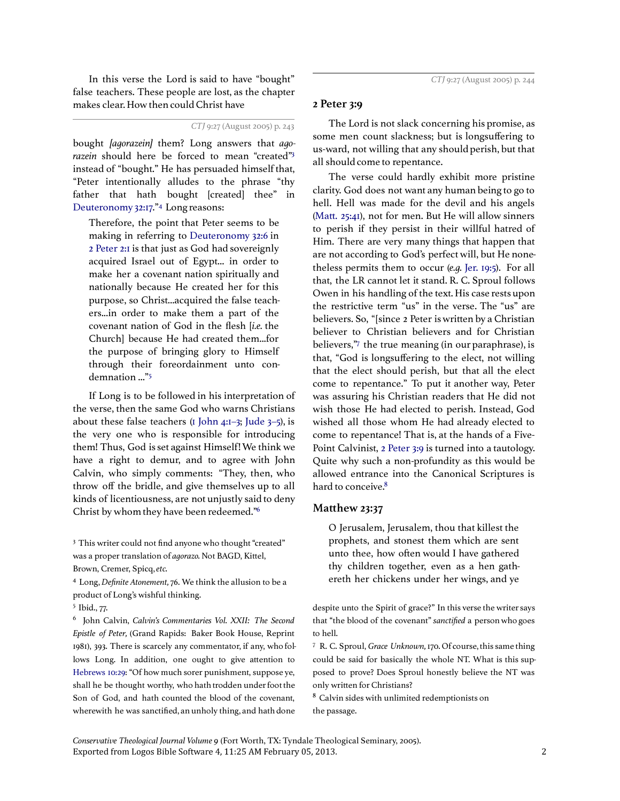In this verse the Lord is said to have "bought" false teachers. These people are lost, as the chapter makes clear. How then could Christ have

## CTJ 9:27 (August 2005) p. 243

bought *[aqorazein]* them? Long answers that *aqo*razein should here be forced to mean "created"3 instead of "bought." He has persuaded himself that, "Peter intentionally alludes to the phrase "thy father that hath bought [created] thee" in Deuteronomy 32:17."<sup>4</sup> Long reasons:

Therefore, the point that Peter seems to be making in referring to Deuteronomy 32:6 in 2 Peter 2:1 is that just as God had sovereignly acquired Israel out of Egypt... in order to make her a covenant nation spiritually and nationally because He created her for this purpose, so Christ...acquired the false teachers...in order to make them a part of the covenant nation of God in the flesh [i.e. the Church] because He had created them...for the purpose of bringing glory to Himself through their foreordainment unto condemnation ..."<sup>5</sup>

If Long is to be followed in his interpretation of the verse, then the same God who warns Christians about these false teachers ( $\overline{1}$  John 4: $\overline{1}$ –3; Jude 3–5), is the very one who is responsible for introducing them! Thus, God is set against Himself! We think we have a right to demur, and to agree with John Calvin, who simply comments: "They, then, who throw off the bridle, and give themselves up to all kinds of licentiousness, are not unjustly said to deny Christ by whom they have been redeemed."<sup>6</sup>

<sup>3</sup> This writer could not find anyone who thought "created" was a proper translation of agorazo. Not BAGD, Kittel, Brown, Cremer, Spicq, etc.

<sup>4</sup> Long, Definite Atonement,76. We think the allusion to be a product of Long's wishful thinking.

<sup>5</sup> Ibid., 77.

<sup>6</sup> John Calvin, Calvin's Commentaries Vol. XXII: The Second Epistle of Peter, (Grand Rapids: Baker Book House, Reprint 1981), 393. There is scarcely any commentator, if any, who follows Long. In addition, one ought to give attention to Hebrews 10:29: "Of how much sorer punishment, suppose ye, shall he be thought worthy, who hath trodden under foot the Son of God, and hath counted the blood of the covenant, wherewith he was sanctified, an unholy thing, and hath done

#### 2 Peter 3:9

The Lord is not slack concerning his promise, as some men count slackness; but is longsuffering to us-ward, not willing that any should perish, but that all should come to repentance.

The verse could hardly exhibit more pristine clarity. God does not want any human being to go to hell. Hell was made for the devil and his angels (Matt.  $25:41$ ), not for men. But He will allow sinners to perish if they persist in their willful hatred of Him. There are very many things that happen that are not according to God's perfect will, but He nonetheless permits them to occur (e.g. Jer. 19:5). For all that, the LR cannot let it stand. R. C. Sproul follows Owen in his handling of the text. His case rests upon the restrictive term "us" in the verse. The "us" are believers. So, "[since 2 Peter is written by a Christian believer to Christian believers and for Christian believers,"<sup>7</sup> the true meaning (in our paraphrase), is that, "God is longsuffering to the elect, not willing that the elect should perish, but that all the elect come to repentance." To put it another way, Peter was assuring his Christian readers that He did not wish those He had elected to perish. Instead, God wished all those whom He had already elected to come to repentance! That is, at the hands of a Five-Point Calvinist, 2 Peter 3:9 is turned into a tautology. Quite why such a non-profundity as this would be allowed entrance into the Canonical Scriptures is hard to conceive.<sup>8</sup>

#### Matthew 23:37

O Jerusalem, Jerusalem, thou that killest the prophets, and stonest them which are sent unto thee, how often would I have gathered thy children together, even as a hen gathereth her chickens under her wings, and ye

despite unto the Spirit of grace?" In this verse the writer says that "the blood of the covenant" sanctified a person who goes to hell.

<sup>7</sup> R. C. Sproul, Grace Unknown,170. Of course, this same thing could be said for basically the whole NT. What is this supposed to prove? Does Sproul honestly believe the NT was only written for Christians?

<sup>8</sup> Calvin sides with unlimited redemptionists on the passage.

Exported from Logos Bible Software 4, 11:25 AM February 05, 2013. 2 Conservative Theological Journal Volume 9 (Fort Worth, TX: Tyndale Theological Seminary, 2005).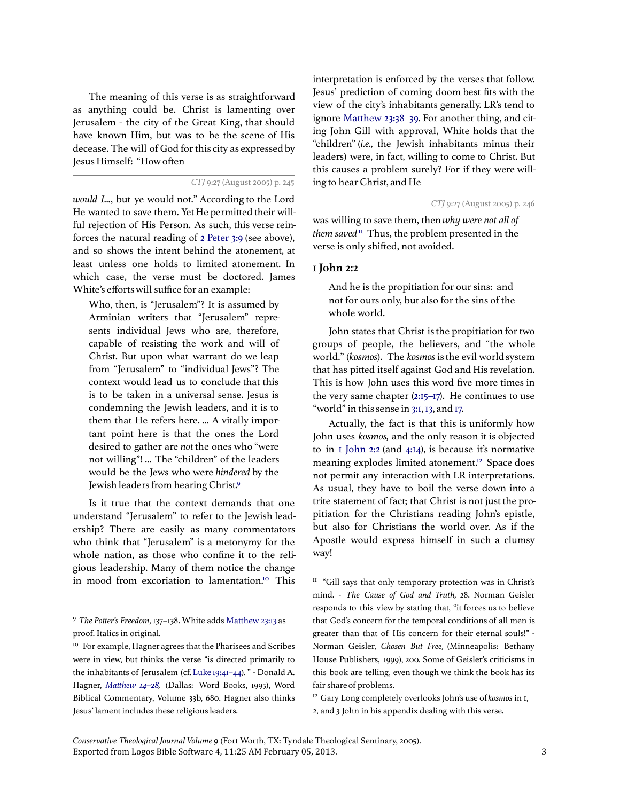The meaning of this verse is as straightforward as anything could be. Christ is lamenting over Jerusalem - the city of the Great King, that should have known Him, but was to be the scene of His decease. The will of God for this city as expressed by Jesus Himself: "How often

CTJ 9:27 (August 2005) p. 245

would I..., but ye would not." According to the Lord He wanted to save them. Yet He permitted their willful rejection of His Person. As such, this verse reinforces the natural reading of 2 Peter 3:9 (see above), and so shows the intent behind the atonement, at least unless one holds to limited atonement. In which case, the verse must be doctored. James White's efforts will suffice for an example:

Who, then, is "Jerusalem"? It is assumed by Arminian writers that "Jerusalem" represents individual Jews who are, therefore, capable of resisting the work and will of Christ. But upon what warrant do we leap from "Jerusalem" to "individual Jews"? The context would lead us to conclude that this is to be taken in a universal sense. Jesus is condemning the Jewish leaders, and it is to them that He refers here. ... A vitally important point here is that the ones the Lord desired to gather are not the ones who "were not willing"! ... The "children" of the leaders would be the Jews who were hindered by the Jewish leaders from hearing Christ.<sup>9</sup>

Is it true that the context demands that one understand "Jerusalem" to refer to the Jewish leadership? There are easily as many commentators who think that "Jerusalem" is a metonymy for the whole nation, as those who confine it to the religious leadership. Many of them notice the change in mood from excoriation to lamentation.<sup>10</sup> This

interpretation is enforced by the verses that follow. Jesus' prediction of coming doom best fits with the view of the city's inhabitants generally. LR's tend to ignore Matthew 23:38–39. For another thing, and citing John Gill with approval, White holds that the "children" (i.e., the Jewish inhabitants minus their leaders) were, in fact, willing to come to Christ. But this causes a problem surely? For if they were willing to hear Christ, and He

CTJ 9:27 (August 2005) p. 246

was willing to save them, then why were not all of them saved<sup>11</sup> Thus, the problem presented in the verse is only shifted, not avoided.

## 1 John 2:2

And he is the propitiation for our sins: and not for ours only, but also for the sins of the whole world.

John states that Christ is the propitiation for two groups of people, the believers, and "the whole world." (kosmos). The kosmos is the evil world system that has pitted itself against God and His revelation. This is how John uses this word five more times in the very same chapter (2:15–17). He continues to use "world" in this sense in 3:1, 13, and 17.

Actually, the fact is that this is uniformly how John uses kosmos, and the only reason it is objected to in 1 John 2:2 (and 4:14), is because it's normative meaning explodes limited atonement.<sup>12</sup> Space does not permit any interaction with LR interpretations. As usual, they have to boil the verse down into a trite statement of fact; that Christ is not just the propitiation for the Christians reading John's epistle, but also for Christians the world over. As if the Apostle would express himself in such a clumsy way!

 $<sup>II</sup>$  "Gill says that only temporary protection was in Christ's</sup> mind. - The Cause of God and Truth, 28. Norman Geisler responds to this view by stating that, "it forces us to believe that God's concern for the temporal conditions of all men is greater than that of His concern for their eternal souls!" -Norman Geisler, Chosen But Free, (Minneapolis: Bethany House Publishers, 1999), 200. Some of Geisler's criticisms in this book are telling, even though we think the book has its fair share of problems.

<sup>12</sup> Gary Long completely overlooks John's use of kosmos in 1, 2, and 3 John in his appendix dealing with this verse.

Exported from Logos Bible Software 4, 11:25 AM February 05, 2013. 3 Conservative Theological Journal Volume 9 (Fort Worth, TX: Tyndale Theological Seminary, 2005).

<sup>9</sup> The Potter's Freedom, 137-138. White adds Matthew 23:13 as proof. Italics in original.

<sup>&</sup>lt;sup>10</sup> For example, Hagner agrees that the Pharisees and Scribes were in view, but thinks the verse "is directed primarily to the inhabitants of Jerusalem (cf. Luke 19:41–44). " - Donald A. Hagner, Matthew 14-28, (Dallas: Word Books, 1995), Word Biblical Commentary, Volume 33b, 680. Hagner also thinks Jesus' lament includes these religious leaders.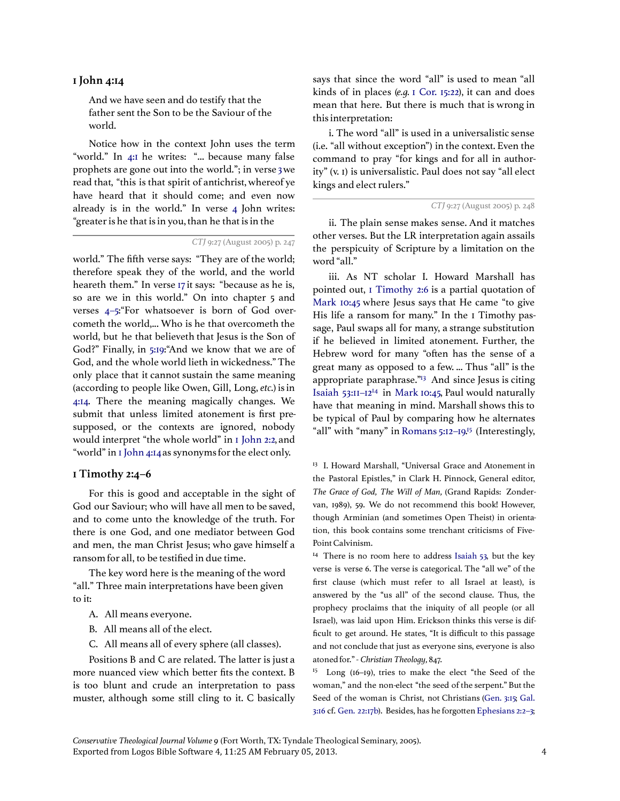### 1 John 4:14

And we have seen and do testify that the father sent the Son to be the Saviour of the world.

Notice how in the context John uses the term "world." In 4:I he writes: "... because many false prophets are gone out into the world."; in verse 3we read that, "this is that spirit of antichrist, whereof ye have heard that it should come; and even now already is in the world." In verse 4 John writes: "greater is he that is in you, than he that is in the

world." The fifth verse says: "They are of the world; therefore speak they of the world, and the world heareth them." In verse 17 it says: "because as he is, so are we in this world." On into chapter 5 and verses 4-5: "For whatsoever is born of God overcometh the world,... Who is he that overcometh the world, but he that believeth that Jesus is the Son of God?" Finally, in 5:19:"And we know that we are of God, and the whole world lieth in wickedness." The only place that it cannot sustain the same meaning (according to people like Owen, Gill, Long, etc.) is in 4:14. There the meaning magically changes. We submit that unless limited atonement is first presupposed, or the contexts are ignored, nobody would interpret "the whole world" in 1 John 2:2, and "world" in 1 John 4:14as synonyms for the elect only.

#### 1 Timothy 2:4–6

For this is good and acceptable in the sight of God our Saviour; who will have all men to be saved, and to come unto the knowledge of the truth. For there is one God, and one mediator between God and men, the man Christ Jesus; who gave himself a ransom for all, to be testified in due time.

The key word here is the meaning of the word "all." Three main interpretations have been given to it:

- A. All means everyone.
- B. All means all of the elect.
- C. All means all of every sphere (all classes).

Positions B and C are related. The latter is just a more nuanced view which better fits the context. B is too blunt and crude an interpretation to pass muster, although some still cling to it. C basically says that since the word "all" is used to mean "all kinds of in places (e.q. 1 Cor. 15:22), it can and does mean that here. But there is much that is wrong in this interpretation:

i. The word "all" is used in a universalistic sense (i.e. "all without exception") in the context. Even the command to pray "for kings and for all in authority" (v. 1) is universalistic. Paul does not say "all elect kings and elect rulers."

ii. The plain sense makes sense. And it matches other verses. But the LR interpretation again assails the perspicuity of Scripture by a limitation on the word "all."

iii. As NT scholar I. Howard Marshall has pointed out, 1 Timothy 2:6 is a partial quotation of Mark 10:45 where Jesus says that He came "to give His life a ransom for many." In the I Timothy passage, Paul swaps all for many, a strange substitution if he believed in limited atonement. Further, the Hebrew word for many "often has the sense of a great many as opposed to a few. ... Thus "all" is the appropriate paraphrase."<sup>13</sup> And since Jesus is citing Isaiah 53:11–12<sup>14</sup> in Mark 10:45, Paul would naturally have that meaning in mind. Marshall shows this to be typical of Paul by comparing how he alternates "all" with "many" in Romans 5:12–19. <sup>15</sup> (Interestingly,

<sup>13</sup> I. Howard Marshall, "Universal Grace and Atonement in the Pastoral Epistles," in Clark H. Pinnock, General editor, The Grace of God, The Will of Man, (Grand Rapids: Zondervan, 1989), 59. We do not recommend this book! However, though Arminian (and sometimes Open Theist) in orientation, this book contains some trenchant criticisms of Five-Point Calvinism.

<sup>14</sup> There is no room here to address Isaiah  $53$ , but the key verse is verse 6. The verse is categorical. The "all we" of the first clause (which must refer to all Israel at least), is answered by the "us all" of the second clause. Thus, the prophecy proclaims that the iniquity of all people (or all Israel), was laid upon Him. Erickson thinks this verse is difficult to get around. He states, "It is difficult to this passage and not conclude that just as everyone sins, everyone is also atoned for." - Christian Theology, 847.

<sup>15</sup> Long (16-19), tries to make the elect "the Seed of the woman," and the non-elect "the seed of the serpent." But the Seed of the woman is Christ, not Christians (Gen. 3:15; Gal. 3:16 cf. Gen. 22:17b). Besides, has he forgotten Ephesians 2:2-3;

Exported from Logos Bible Software 4, 11:25 AM February 05, 2013. 4 Conservative Theological Journal Volume 9 (Fort Worth, TX: Tyndale Theological Seminary, 2005).

CTJ 9:27 (August 2005) p. 247

CTJ 9:27 (August 2005) p. 248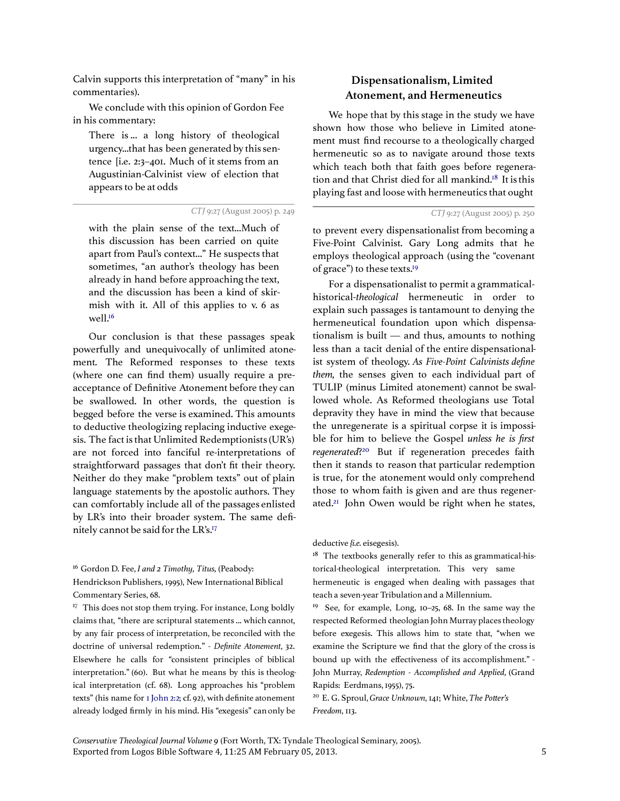Calvin supports this interpretation of "many" in his commentaries).

We conclude with this opinion of Gordon Fee in his commentary:

There is ... a long history of theological urgency...that has been generated by this sentence [i.e. 2:3–401. Much of it stems from an Augustinian-Calvinist view of election that appears to be at odds

CTJ 9:27 (August 2005) p. 249

with the plain sense of the text...Much of this discussion has been carried on quite apart from Paul's context..." He suspects that sometimes, "an author's theology has been already in hand before approaching the text, and the discussion has been a kind of skirmish with it. All of this applies to v. 6 as well.<sup>16</sup>

Our conclusion is that these passages speak powerfully and unequivocally of unlimited atonement. The Reformed responses to these texts (where one can find them) usually require a preacceptance of Definitive Atonement before they can be swallowed. In other words, the question is begged before the verse is examined. This amounts to deductive theologizing replacing inductive exegesis. The fact is that Unlimited Redemptionists (UR's) are not forced into fanciful re-interpretations of straightforward passages that don't fit their theory. Neither do they make "problem texts" out of plain language statements by the apostolic authors. They can comfortably include all of the passages enlisted by LR's into their broader system. The same definitely cannot be said for the LR's.<sup>17</sup>

 $16$  Gordon D. Fee, I and 2 Timothy, Titus, (Peabody:

Hendrickson Publishers, 1995), New International Biblical Commentary Series, 68.

<sup>17</sup> This does not stop them trying. For instance, Long boldly claims that, "there are scriptural statements ... which cannot, by any fair process of interpretation, be reconciled with the doctrine of universal redemption." - Definite Atonement, 32. Elsewhere he calls for "consistent principles of biblical interpretation." (60). But what he means by this is theological interpretation (cf. 68). Long approaches his "problem texts" (his name for 1 John 2:2; cf. 92), with definite atonement already lodged firmly in his mind. His "exegesis" can only be

# Dispensationalism, Limited Atonement, and Hermeneutics

We hope that by this stage in the study we have shown how those who believe in Limited atonement must find recourse to a theologically charged hermeneutic so as to navigate around those texts which teach both that faith goes before regeneration and that Christ died for all mankind.<sup>18</sup> It is this playing fast and loose with hermeneutics that ought

CTJ 9:27 (August 2005) p. 250

to prevent every dispensationalist from becoming a Five-Point Calvinist. Gary Long admits that he employs theological approach (using the "covenant of grace") to these texts.<sup>19</sup>

For a dispensationalist to permit a grammaticalhistorical-theological hermeneutic in order to explain such passages is tantamount to denying the hermeneutical foundation upon which dispensationalism is built — and thus, amounts to nothing less than a tacit denial of the entire dispensationalist system of theology. As Five-Point Calvinists define them, the senses given to each individual part of TULIP (minus Limited atonement) cannot be swallowed whole. As Reformed theologians use Total depravity they have in mind the view that because the unregenerate is a spiritual corpse it is impossible for him to believe the Gospel unless he is first regenerated?<sup>20</sup> But if regeneration precedes faith then it stands to reason that particular redemption is true, for the atonement would only comprehend those to whom faith is given and are thus regenerated.<sup>21</sup> John Owen would be right when he states,

deductive {i.e. eisegesis).

 $18$  The textbooks generally refer to this as grammatical-historical-theological interpretation. This very same hermeneutic is engaged when dealing with passages that teach a seven-year Tribulation and a Millennium.

<sup>19</sup> See, for example, Long,  $10-25$ , 68. In the same way the respected Reformed theologian John Murray places theology before exegesis. This allows him to state that, "when we examine the Scripture we find that the glory of the cross is bound up with the effectiveness of its accomplishment." - John Murray, Redemption - Accomplished and Applied, (Grand Rapids: Eerdmans, 1955), 75.

<sup>20</sup> E. G. Sproul, Grace Unknown, 141; White, The Potter's Freedom, 113.

Exported from Logos Bible Software 4, 11:25 AM February 05, 2013. 5 Conservative Theological Journal Volume 9 (Fort Worth, TX: Tyndale Theological Seminary, 2005).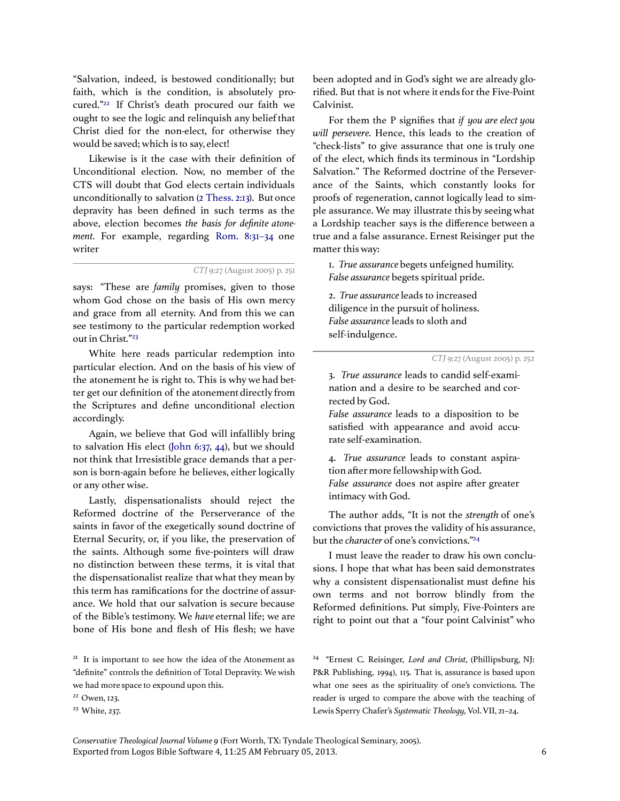"Salvation, indeed, is bestowed conditionally; but faith, which is the condition, is absolutely procured."<sup>22</sup> If Christ's death procured our faith we ought to see the logic and relinquish any belief that Christ died for the non-elect, for otherwise they would be saved; which is to say, elect!

Likewise is it the case with their definition of Unconditional election. Now, no member of the CTS will doubt that God elects certain individuals unconditionally to salvation (2 Thess. 2:13). But once depravity has been defined in such terms as the above, election becomes the basis for definite atonement. For example, regarding Rom. 8:31-34 one writer

CTJ 9:27 (August 2005) p. 251

says: "These are *family* promises, given to those whom God chose on the basis of His own mercy and grace from all eternity. And from this we can see testimony to the particular redemption worked out in Christ."<sup>23</sup>

White here reads particular redemption into particular election. And on the basis of his view of the atonement he is right to. This is why we had better get our definition of the atonement directly from the Scriptures and define unconditional election accordingly.

Again, we believe that God will infallibly bring to salvation His elect (John 6:37, 44), but we should not think that Irresistible grace demands that a person is born-again before he believes, either logically or any other wise.

Lastly, dispensationalists should reject the Reformed doctrine of the Perserverance of the saints in favor of the exegetically sound doctrine of Eternal Security, or, if you like, the preservation of the saints. Although some five-pointers will draw no distinction between these terms, it is vital that the dispensationalist realize that what they mean by this term has ramifications for the doctrine of assurance. We hold that our salvation is secure because of the Bible's testimony. We have eternal life; we are bone of His bone and flesh of His flesh; we have

<sup>21</sup> It is important to see how the idea of the Atonement as "definite" controls the definition of Total Depravity. We wish we had more space to expound upon this.

been adopted and in God's sight we are already glorified. But that is not where it ends for the Five-Point Calvinist.

For them the P signifies that if you are elect you will persevere. Hence, this leads to the creation of "check-lists" to give assurance that one is truly one of the elect, which finds its terminous in "Lordship Salvation." The Reformed doctrine of the Perseverance of the Saints, which constantly looks for proofs of regeneration, cannot logically lead to simple assurance. We may illustrate this by seeing what a Lordship teacher says is the difference between a true and a false assurance. Ernest Reisinger put the matter this way:

1. True assurance begets unfeigned humility. False assurance begets spiritual pride.

2. True assurance leads to increased diligence in the pursuit of holiness. False assurance leads to sloth and self-indulgence.

CTJ 9:27 (August 2005) p. 252

3. True assurance leads to candid self-examination and a desire to be searched and corrected by God.

False assurance leads to a disposition to be satisfied with appearance and avoid accurate self-examination.

4. True assurance leads to constant aspiration after more fellowship with God. False assurance does not aspire after greater intimacy with God.

The author adds, "It is not the strength of one's convictions that proves the validity of his assurance, but the character of one's convictions."<sup>24</sup>

I must leave the reader to draw his own conclusions. I hope that what has been said demonstrates why a consistent dispensationalist must define his own terms and not borrow blindly from the Reformed definitions. Put simply, Five-Pointers are right to point out that a "four point Calvinist" who

<sup>24</sup> "Ernest C. Reisinger, Lord and Christ, (Phillipsburg, NJ: P&R Publishing, 1994), 115. That is, assurance is based upon what one sees as the spirituality of one's convictions. The reader is urged to compare the above with the teaching of Lewis Sperry Chafer's Systematic Theology, Vol. VII, 21-24.

Exported from Logos Bible Software 4, 11:25 AM February 05, 2013. 6 Conservative Theological Journal Volume 9 (Fort Worth, TX: Tyndale Theological Seminary, 2005).

<sup>22</sup> Owen, 123.

<sup>23</sup> White, 237.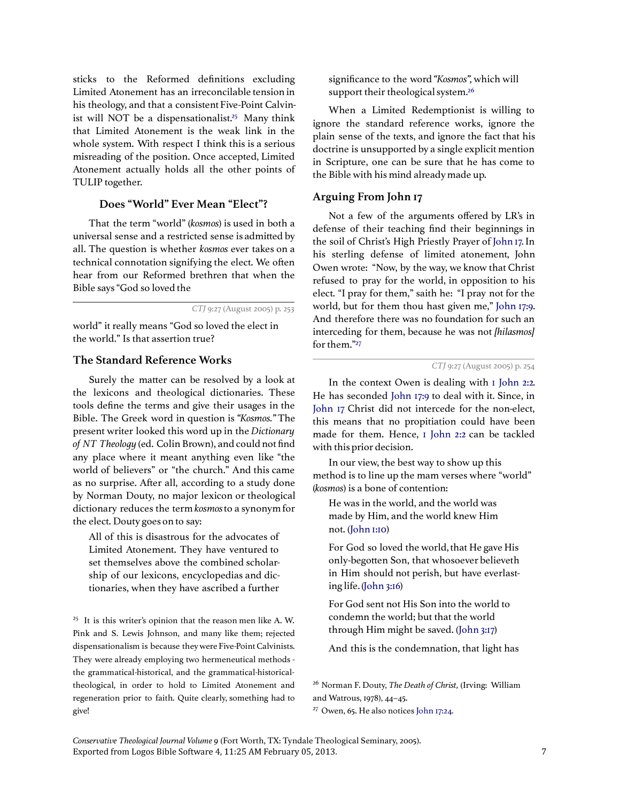sticks to the Reformed definitions excluding Limited Atonement has an irreconcilable tension in his theology, and that a consistent Five-Point Calvinist will NOT be a dispensationalist.<sup>25</sup> Many think that Limited Atonement is the weak link in the whole system. With respect I think this is a serious misreading of the position. Once accepted, Limited Atonement actually holds all the other points of TULIP together.

#### Does "World" Ever Mean "Elect"?

That the term "world" (kosmos) is used in both a universal sense and a restricted sense is admitted by all. The question is whether kosmos ever takes on a technical connotation signifying the elect. We often hear from our Reformed brethren that when the Bible says "God so loved the

CTJ 9:27 (August 2005) p. 253

world" it really means "God so loved the elect in the world." Is that assertion true?

### The Standard Reference Works

Surely the matter can be resolved by a look at the lexicons and theological dictionaries. These tools define the terms and give their usages in the Bible. The Greek word in question is "Kosmos." The present writer looked this word up in the Dictionary of NT Theology (ed. Colin Brown), and could not find any place where it meant anything even like "the world of believers" or "the church." And this came as no surprise. After all, according to a study done by Norman Douty, no major lexicon or theological dictionary reduces the term kosmosto a synonym for the elect. Douty goes on to say:

All of this is disastrous for the advocates of Limited Atonement. They have ventured to set themselves above the combined scholarship of our lexicons, encyclopedias and dictionaries, when they have ascribed a further

<sup>25</sup> It is this writer's opinion that the reason men like A. W. Pink and S. Lewis Johnson, and many like them; rejected dispensationalism is because they were Five-Point Calvinists. They were already employing two hermeneutical methods the grammatical-historical, and the grammatical-historicaltheological, in order to hold to Limited Atonement and regeneration prior to faith. Quite clearly, something had to give!

significance to the word "Kosmos", which will support their theological system.<sup>26</sup>

When a Limited Redemptionist is willing to ignore the standard reference works, ignore the plain sense of the texts, and ignore the fact that his doctrine is unsupported by a single explicit mention in Scripture, one can be sure that he has come to the Bible with his mind already made up.

#### Arguing From John 17

Not a few of the arguments offered by LR's in defense of their teaching find their beginnings in the soil of Christ's High Priestly Prayer of John 17. In his sterling defense of limited atonement, John Owen wrote: "Now, by the way, we know that Christ refused to pray for the world, in opposition to his elect. "I pray for them," saith he: "I pray not for the world, but for them thou hast given me," John 17:9. And therefore there was no foundation for such an interceding for them, because he was not [hilasmos] for them."<sup>27</sup>

In the context Owen is dealing with 1 John 2:2. He has seconded John 17:9 to deal with it. Since, in John 17 Christ did not intercede for the non-elect, this means that no propitiation could have been made for them. Hence, 1 John 2:2 can be tackled with this prior decision.

In our view, the best way to show up this method is to line up the mam verses where "world" (kosmos) is a bone of contention:

He was in the world, and the world was made by Him, and the world knew Him not. (John 1:10)

For God so loved the world, that He gave His only-begotten Son, that whosoever believeth in Him should not perish, but have everlasting life. (John 3:16)

For God sent not His Son into the world to condemn the world; but that the world through Him might be saved. (John 3:17)

And this is the condemnation, that light has

<sup>26</sup> Norman F. Douty, The Death of Christ, (Irving: William and Watrous, 1978), 44–45.

<sup>27</sup> Owen, 65. He also notices John 17:24.

Exported from Logos Bible Software 4, 11:25 AM February 05, 2013. 7 Conservative Theological Journal Volume 9 (Fort Worth, TX: Tyndale Theological Seminary, 2005).

CTJ 9:27 (August 2005) p. 254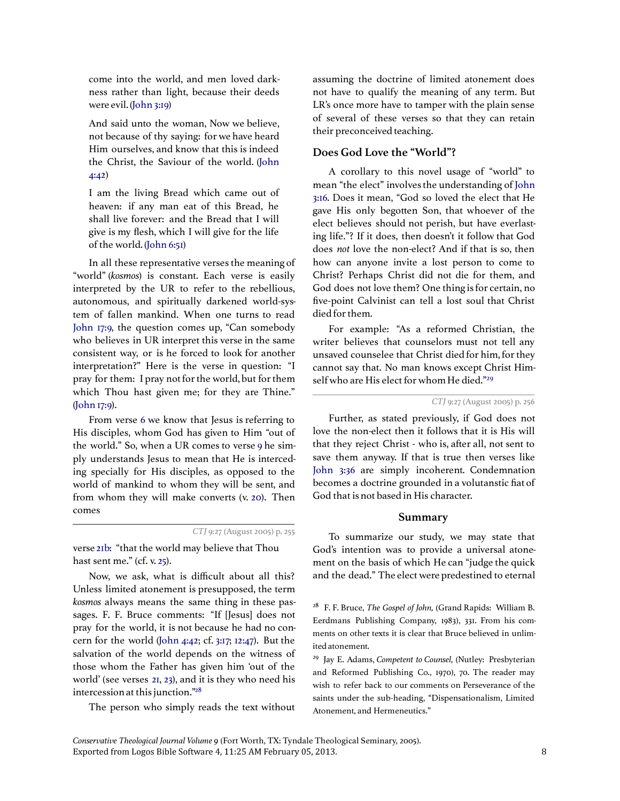come into the world, and men loved darkness rather than light, because their deeds were evil. (John 3:19)

And said unto the woman, Now we believe, not because of thy saying: for we have heard Him ourselves, and know that this is indeed the Christ, the Saviour of the world. (John 4:42)

I am the living Bread which came out of heaven: if any man eat of this Bread, he shall live forever: and the Bread that I will give is my flesh, which I will give for the life of the world. (John 6:51)

In all these representative verses the meaning of "world" (kosmos) is constant. Each verse is easily interpreted by the UR to refer to the rebellious, autonomous, and spiritually darkened world-system of fallen mankind. When one turns to read John 17:9, the question comes up, "Can somebody who believes in UR interpret this verse in the same consistent way, or is he forced to look for another interpretation?" Here is the verse in question: "I pray for them: I pray not for the world, but for them which Thou hast given me; for they are Thine." (John 17:9).

From verse 6 we know that Jesus is referring to His disciples, whom God has given to Him "out of the world." So, when a UR comes to verse 9 he simply understands Jesus to mean that He is interceding specially for His disciples, as opposed to the world of mankind to whom they will be sent, and from whom they will make converts (v. 20). Then comes

verse 21b: "that the world may believe that Thou hast sent me." (cf. v. 25).

Now, we ask, what is difficult about all this? Unless limited atonement is presupposed, the term kosmos always means the same thing in these passages. F. F. Bruce comments: "If [Jesus] does not pray for the world, it is not because he had no concern for the world (John 4:42; cf. 3:17; 12:47). But the salvation of the world depends on the witness of those whom the Father has given him 'out of the world' (see verses 21, 23), and it is they who need his intercession at this junction."<sup>28</sup>

The person who simply reads the text without

assuming the doctrine of limited atonement does not have to qualify the meaning of any term. But LR's once more have to tamper with the plain sense of several of these verses so that they can retain their preconceived teaching.

# Does God Love the "World"?

A corollary to this novel usage of "world" to mean "the elect" involves the understanding of John 3:16. Does it mean, "God so loved the elect that He gave His only begotten Son, that whoever of the elect believes should not perish, but have everlasting life."? If it does, then doesn't it follow that God does not love the non-elect? And if that is so, then how can anyone invite a lost person to come to Christ? Perhaps Christ did not die for them, and God does not love them? One thing is for certain, no five-point Calvinist can tell a lost soul that Christ died for them.

For example: "As a reformed Christian, the writer believes that counselors must not tell any unsaved counselee that Christ died for him, for they cannot say that. No man knows except Christ Himself who are His elect for whom He died."<sup>29</sup>

CTJ 9:27 (August 2005) p. 256

Further, as stated previously, if God does not love the non-elect then it follows that it is His will that they reject Christ - who is, after all, not sent to save them anyway. If that is true then verses like John 3:36 are simply incoherent. Condemnation becomes a doctrine grounded in a volutanstic fiat of God that is not based in His character.

#### Summary

To summarize our study, we may state that God's intention was to provide a universal atonement on the basis of which He can "judge the quick and the dead." The elect were predestined to eternal

<sup>28</sup> F. F. Bruce, *The Gospel of John*, (Grand Rapids: William B. Eerdmans Publishing Company, 1983), 331. From his comments on other texts it is clear that Bruce believed in unlimited atonement.

<sup>29</sup> Jay E. Adams, Competent to Counsel, (Nutley: Presbyterian and Reformed Publishing Co., 1970), 70. The reader may wish to refer back to our comments on Perseverance of the saints under the sub-heading, "Dispensationalism, Limited Atonement, and Hermeneutics."

CTJ 9:27 (August 2005) p. 255